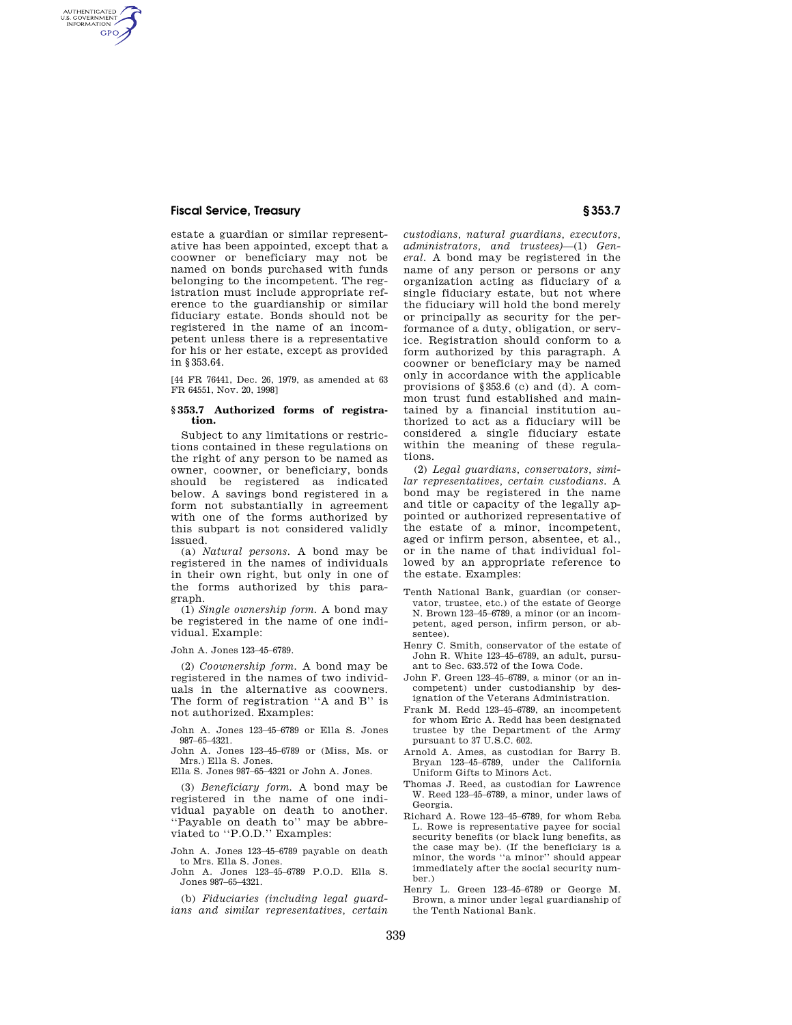### **Fiscal Service, Treasury § 353.7**

AUTHENTICATED<br>U.S. GOVERNMENT<br>INFORMATION **GPO** 

> estate a guardian or similar representative has been appointed, except that a coowner or beneficiary may not be named on bonds purchased with funds belonging to the incompetent. The registration must include appropriate reference to the guardianship or similar fiduciary estate. Bonds should not be registered in the name of an incompetent unless there is a representative for his or her estate, except as provided in §353.64.

> [44 FR 76441, Dec. 26, 1979, as amended at 63 FR 64551, Nov. 20, 1998]

#### **§ 353.7 Authorized forms of registration.**

Subject to any limitations or restrictions contained in these regulations on the right of any person to be named as owner, coowner, or beneficiary, bonds should be registered as indicated below. A savings bond registered in a form not substantially in agreement with one of the forms authorized by this subpart is not considered validly issued.

(a) *Natural persons.* A bond may be registered in the names of individuals in their own right, but only in one of the forms authorized by this paragraph.

(1) *Single ownership form.* A bond may be registered in the name of one individual. Example:

John A. Jones 123–45–6789.

(2) *Coownership form.* A bond may be registered in the names of two individuals in the alternative as coowners. The form of registration "A and B" is not authorized. Examples:

John A. Jones 123–45–6789 or Ella S. Jones 987–65–4321.

John A. Jones 123–45–6789 or (Miss, Ms. or Mrs.) Ella S. Jones.

Ella S. Jones 987–65–4321 or John A. Jones.

(3) *Beneficiary form.* A bond may be registered in the name of one individual payable on death to another. ''Payable on death to'' may be abbreviated to "P.O.D." Examples:

John A. Jones 123–45–6789 payable on death to Mrs. Ella S. Jones.

John A. Jones 123–45–6789 P.O.D. Ella S. Jones 987–65–4321.

(b) *Fiduciaries (including legal guardians and similar representatives, certain*  *custodians, natural guardians, executors, administrators, and trustees)*—(1) *General.* A bond may be registered in the name of any person or persons or any organization acting as fiduciary of a single fiduciary estate, but not where the fiduciary will hold the bond merely or principally as security for the performance of a duty, obligation, or service. Registration should conform to a form authorized by this paragraph. A coowner or beneficiary may be named only in accordance with the applicable provisions of §353.6 (c) and (d). A common trust fund established and maintained by a financial institution authorized to act as a fiduciary will be considered a single fiduciary estate within the meaning of these regulations.

(2) *Legal guardians, conservators, similar representatives, certain custodians.* A bond may be registered in the name and title or capacity of the legally appointed or authorized representative of the estate of a minor, incompetent, aged or infirm person, absentee, et al., or in the name of that individual followed by an appropriate reference to the estate. Examples:

- Tenth National Bank, guardian (or conservator, trustee, etc.) of the estate of George N. Brown 123–45–6789, a minor (or an incompetent, aged person, infirm person, or absentee).
- Henry C. Smith, conservator of the estate of John R. White 123–45–6789, an adult, pursuant to Sec. 633.572 of the Iowa Code.
- John F. Green 123–45–6789, a minor (or an incompetent) under custodianship by designation of the Veterans Administration.
- Frank M. Redd 123–45–6789, an incompetent for whom Eric A. Redd has been designated trustee by the Department of the Army pursuant to 37 U.S.C. 602.
- Arnold A. Ames, as custodian for Barry B. Bryan 123–45–6789, under the California Uniform Gifts to Minors Act.
- Thomas J. Reed, as custodian for Lawrence W. Reed 123–45–6789, a minor, under laws of Georgia.
- Richard A. Rowe 123–45–6789, for whom Reba L. Rowe is representative payee for social security benefits (or black lung benefits, as the case may be). (If the beneficiary is a minor, the words ''a minor'' should appear immediately after the social security number.)
- Henry L. Green 123–45–6789 or George M. Brown, a minor under legal guardianship of the Tenth National Bank.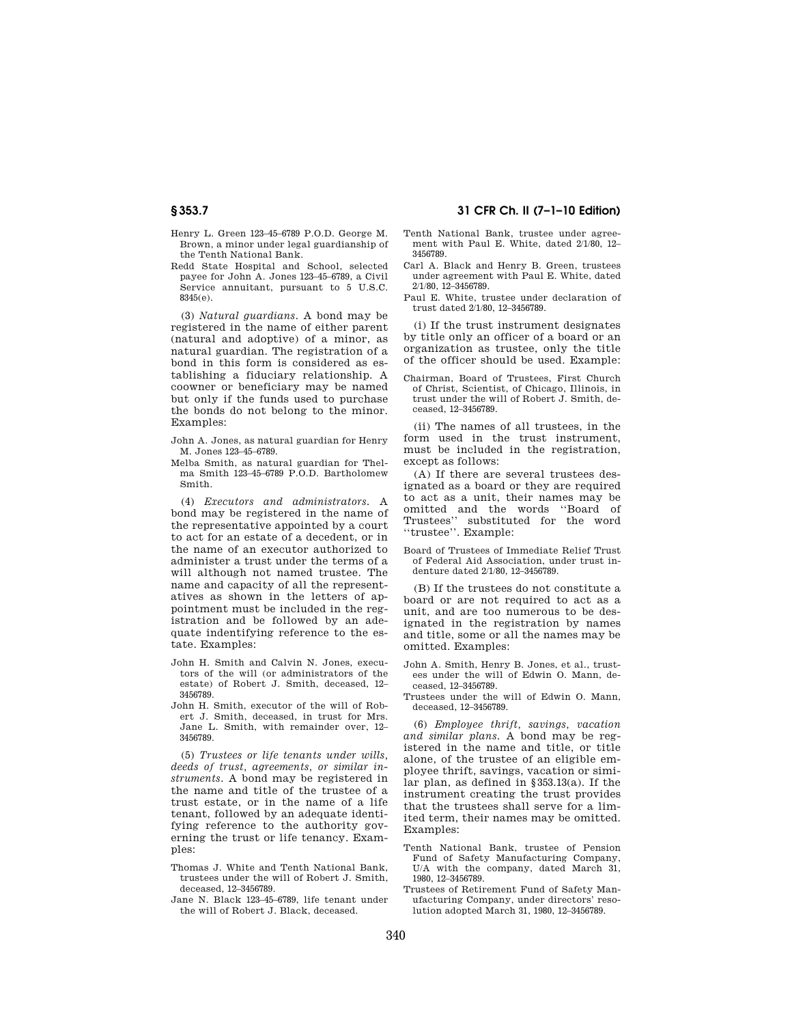- Henry L. Green 123–45–6789 P.O.D. George M. Brown, a minor under legal guardianship of the Tenth National Bank.
- Redd State Hospital and School, selected payee for John A. Jones 123–45–6789, a Civil Service annuitant, pursuant to 5 U.S.C. 8345(e).

(3) *Natural guardians.* A bond may be registered in the name of either parent (natural and adoptive) of a minor, as natural guardian. The registration of a bond in this form is considered as establishing a fiduciary relationship. A coowner or beneficiary may be named but only if the funds used to purchase the bonds do not belong to the minor. Examples:

- John A. Jones, as natural guardian for Henry M. Jones 123–45–6789.
- Melba Smith, as natural guardian for Thelma Smith 123–45–6789 P.O.D. Bartholomew Smith.

(4) *Executors and administrators.* A bond may be registered in the name of the representative appointed by a court to act for an estate of a decedent, or in the name of an executor authorized to administer a trust under the terms of a will although not named trustee. The name and capacity of all the representatives as shown in the letters of appointment must be included in the registration and be followed by an adequate indentifying reference to the estate. Examples:

- John H. Smith and Calvin N. Jones, executors of the will (or administrators of the estate) of Robert J. Smith, deceased, 12– 3456789.
- John H. Smith, executor of the will of Robert J. Smith, deceased, in trust for Mrs. Jane L. Smith, with remainder over, 12– 3456789.

(5) *Trustees or life tenants under wills, deeds of trust, agreements, or similar instruments.* A bond may be registered in the name and title of the trustee of a trust estate, or in the name of a life tenant, followed by an adequate identifying reference to the authority governing the trust or life tenancy. Examples:

- Thomas J. White and Tenth National Bank, trustees under the will of Robert J. Smith, deceased, 12–3456789.
- Jane N. Black 123–45–6789, life tenant under the will of Robert J. Black, deceased.

# **§ 353.7 31 CFR Ch. II (7–1–10 Edition)**

- Tenth National Bank, trustee under agreement with Paul E. White, dated 2/1/80, 12-3456789.
- Carl A. Black and Henry B. Green, trustees under agreement with Paul E. White, dated 2/1/80, 12–3456789.
- Paul E. White, trustee under declaration of trust dated 2/1/80, 12–3456789.

(i) If the trust instrument designates by title only an officer of a board or an organization as trustee, only the title of the officer should be used. Example:

Chairman, Board of Trustees, First Church of Christ, Scientist, of Chicago, Illinois, in trust under the will of Robert J. Smith, deceased, 12–3456789.

(ii) The names of all trustees, in the form used in the trust instrument, must be included in the registration, except as follows:

(A) If there are several trustees designated as a board or they are required to act as a unit, their names may be omitted and the words ''Board of Trustees'' substituted for the word ''trustee''. Example:

Board of Trustees of Immediate Relief Trust of Federal Aid Association, under trust indenture dated 2/1/80, 12–3456789.

(B) If the trustees do not constitute a board or are not required to act as a unit, and are too numerous to be designated in the registration by names and title, some or all the names may be omitted. Examples:

- John A. Smith, Henry B. Jones, et al., trustees under the will of Edwin O. Mann, deceased, 12–3456789.
- Trustees under the will of Edwin O. Mann, deceased, 12–3456789.

(6) *Employee thrift, savings, vacation and similar plans.* A bond may be registered in the name and title, or title alone, of the trustee of an eligible employee thrift, savings, vacation or similar plan, as defined in §353.13(a). If the instrument creating the trust provides that the trustees shall serve for a limited term, their names may be omitted. Examples:

- Tenth National Bank, trustee of Pension Fund of Safety Manufacturing Company, U/A with the company, dated March 31, 1980, 12–3456789.
- Trustees of Retirement Fund of Safety Manufacturing Company, under directors' resolution adopted March 31, 1980, 12–3456789.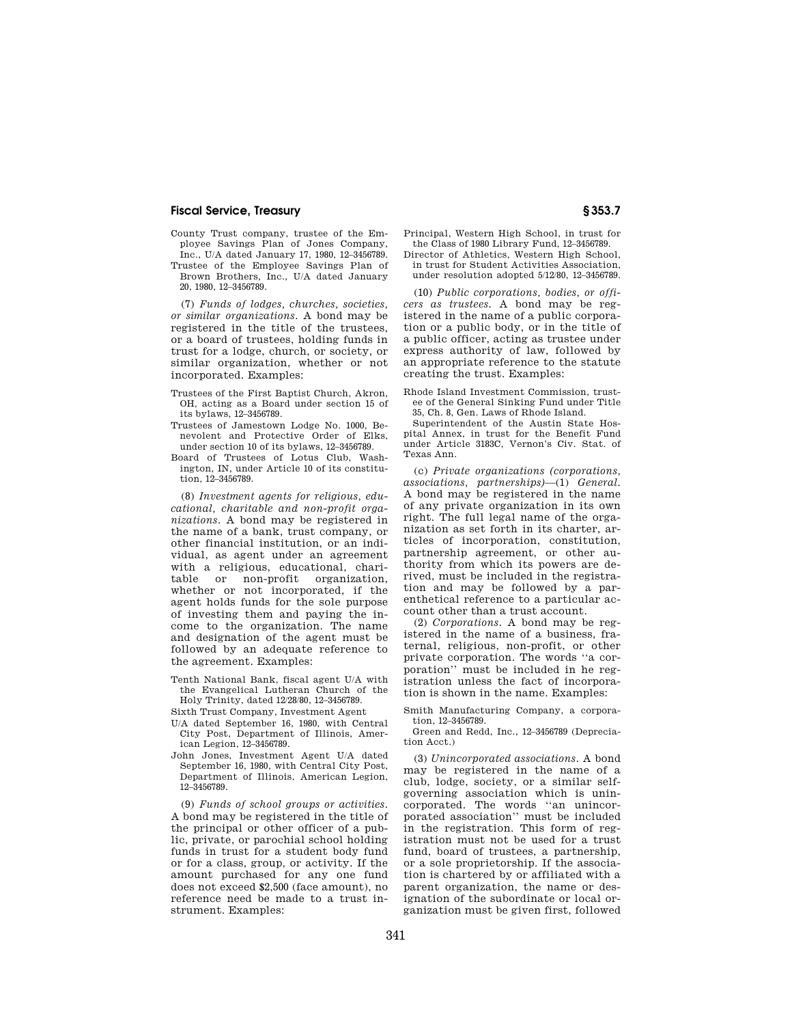## **Fiscal Service, Treasury § 353.7**

- County Trust company, trustee of the Employee Savings Plan of Jones Company, Inc., U/A dated January 17, 1980, 12–3456789.
- Trustee of the Employee Savings Plan of Brown Brothers, Inc., U/A dated January 20, 1980, 12–3456789.

(7) *Funds of lodges, churches, societies, or similar organizations.* A bond may be registered in the title of the trustees, or a board of trustees, holding funds in trust for a lodge, church, or society, or similar organization, whether or not incorporated. Examples:

- Trustees of the First Baptist Church, Akron, OH, acting as a Board under section 15 of its bylaws, 12–3456789.
- Trustees of Jamestown Lodge No. 1000, Benevolent and Protective Order of Elks, under section 10 of its bylaws, 12–3456789.
- Board of Trustees of Lotus Club, Washington, IN, under Article 10 of its constitution, 12–3456789.

(8) *Investment agents for religious, educational, charitable and non-profit organizations.* A bond may be registered in the name of a bank, trust company, or other financial institution, or an individual, as agent under an agreement with a religious, educational, charitable or non-profit organization, whether or not incorporated, if the agent holds funds for the sole purpose of investing them and paying the income to the organization. The name and designation of the agent must be followed by an adequate reference to the agreement. Examples:

- Tenth National Bank, fiscal agent U/A with the Evangelical Lutheran Church of the Holy Trinity, dated 12/28/80, 12–3456789.
- Sixth Trust Company, Investment Agent
- U/A dated September 16, 1980, with Central City Post, Department of Illinois, American Legion, 12–3456789.
- John Jones, Investment Agent U/A dated September 16, 1980, with Central City Post, Department of Illinois, American Legion, 12–3456789.

(9) *Funds of school groups or activities.*  A bond may be registered in the title of the principal or other officer of a public, private, or parochial school holding funds in trust for a student body fund or for a class, group, or activity. If the amount purchased for any one fund does not exceed \$2,500 (face amount), no reference need be made to a trust instrument. Examples:

Principal, Western High School, in trust for the Class of 1980 Library Fund, 12–3456789.

Director of Athletics, Western High School, in trust for Student Activities Association, under resolution adopted 5/12/80, 12–3456789.

(10) *Public corporations, bodies, or officers as trustees.* A bond may be registered in the name of a public corporation or a public body, or in the title of a public officer, acting as trustee under express authority of law, followed by an appropriate reference to the statute creating the trust. Examples:

Rhode Island Investment Commission, trustee of the General Sinking Fund under Title 35, Ch. 8, Gen. Laws of Rhode Island.

Superintendent of the Austin State Hospital Annex, in trust for the Benefit Fund under Article 3183C, Vernon's Civ. Stat. of Texas Ann.

(c) *Private organizations (corporations, associations, partnerships)*—(1) *General.*  A bond may be registered in the name of any private organization in its own right. The full legal name of the organization as set forth in its charter, articles of incorporation, constitution, partnership agreement, or other authority from which its powers are derived, must be included in the registration and may be followed by a parenthetical reference to a particular account other than a trust account.

(2) *Corporations.* A bond may be registered in the name of a business, fraternal, religious, non-profit, or other private corporation. The words ''a corporation'' must be included in he registration unless the fact of incorporation is shown in the name. Examples:

Smith Manufacturing Company, a corporation, 12–3456789.

Green and Redd, Inc., 12–3456789 (Depreciation Acct.)

(3) *Unincorporated associations.* A bond may be registered in the name of a club, lodge, society, or a similar selfgoverning association which is unincorporated. The words ''an unincorporated association'' must be included in the registration. This form of registration must not be used for a trust fund, board of trustees, a partnership, or a sole proprietorship. If the association is chartered by or affiliated with a parent organization, the name or designation of the subordinate or local organization must be given first, followed